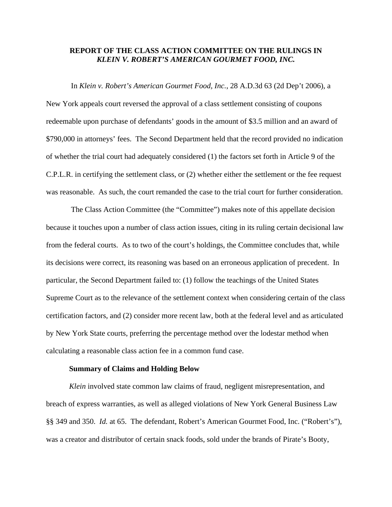# **REPORT OF THE CLASS ACTION COMMITTEE ON THE RULINGS IN**  *KLEIN V. ROBERT'S AMERICAN GOURMET FOOD, INC.*

 In *Klein v. Robert's American Gourmet Food, Inc.*, 28 A.D.3d 63 (2d Dep't 2006), a New York appeals court reversed the approval of a class settlement consisting of coupons redeemable upon purchase of defendants' goods in the amount of \$3.5 million and an award of \$790,000 in attorneys' fees. The Second Department held that the record provided no indication of whether the trial court had adequately considered (1) the factors set forth in Article 9 of the C.P.L.R. in certifying the settlement class, or (2) whether either the settlement or the fee request was reasonable. As such, the court remanded the case to the trial court for further consideration.

 The Class Action Committee (the "Committee") makes note of this appellate decision because it touches upon a number of class action issues, citing in its ruling certain decisional law from the federal courts. As to two of the court's holdings, the Committee concludes that, while its decisions were correct, its reasoning was based on an erroneous application of precedent. In particular, the Second Department failed to: (1) follow the teachings of the United States Supreme Court as to the relevance of the settlement context when considering certain of the class certification factors, and (2) consider more recent law, both at the federal level and as articulated by New York State courts, preferring the percentage method over the lodestar method when calculating a reasonable class action fee in a common fund case.

#### **Summary of Claims and Holding Below**

*Klein* involved state common law claims of fraud, negligent misrepresentation, and breach of express warranties, as well as alleged violations of New York General Business Law §§ 349 and 350. *Id.* at 65. The defendant, Robert's American Gourmet Food, Inc. ("Robert's"), was a creator and distributor of certain snack foods, sold under the brands of Pirate's Booty,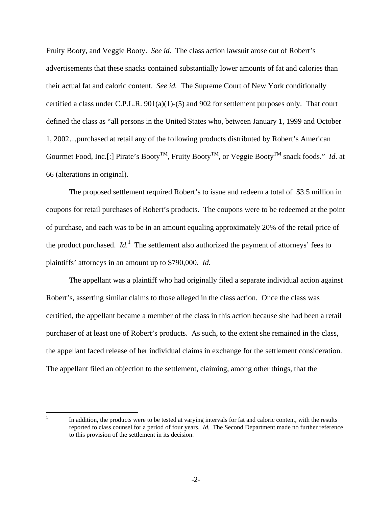Fruity Booty, and Veggie Booty. *See id.* The class action lawsuit arose out of Robert's advertisements that these snacks contained substantially lower amounts of fat and calories than their actual fat and caloric content. *See id.* The Supreme Court of New York conditionally certified a class under C.P.L.R. 901(a)(1)-(5) and 902 for settlement purposes only. That court defined the class as "all persons in the United States who, between January 1, 1999 and October 1, 2002…purchased at retail any of the following products distributed by Robert's American Gourmet Food, Inc.[:] Pirate's BootyTM, Fruity BootyTM, or Veggie BootyTM snack foods." *Id*. at 66 (alterations in original).

The proposed settlement required Robert's to issue and redeem a total of \$3.5 million in coupons for retail purchases of Robert's products. The coupons were to be redeemed at the point of purchase, and each was to be in an amount equaling approximately 20% of the retail price of the product purchased. *Id.*<sup>1</sup> The settlement also authorized the payment of attorneys' fees to plaintiffs' attorneys in an amount up to \$790,000. *Id.*

The appellant was a plaintiff who had originally filed a separate individual action against Robert's, asserting similar claims to those alleged in the class action. Once the class was certified, the appellant became a member of the class in this action because she had been a retail purchaser of at least one of Robert's products. As such, to the extent she remained in the class, the appellant faced release of her individual claims in exchange for the settlement consideration. The appellant filed an objection to the settlement, claiming, among other things, that the

 $\frac{1}{1}$ 

In addition, the products were to be tested at varying intervals for fat and caloric content, with the results reported to class counsel for a period of four years. *Id.* The Second Department made no further reference to this provision of the settlement in its decision.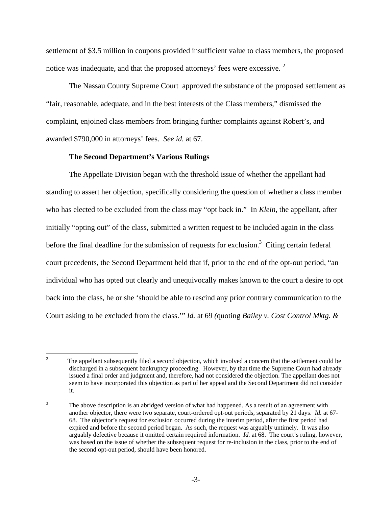settlement of \$3.5 million in coupons provided insufficient value to class members, the proposed notice was inadequate, and that the proposed attorneys' fees were excessive.  $2$ 

The Nassau County Supreme Court approved the substance of the proposed settlement as "fair, reasonable, adequate, and in the best interests of the Class members," dismissed the complaint, enjoined class members from bringing further complaints against Robert's, and awarded \$790,000 in attorneys' fees. *See id.* at 67.

### **The Second Department's Various Rulings**

The Appellate Division began with the threshold issue of whether the appellant had standing to assert her objection, specifically considering the question of whether a class member who has elected to be excluded from the class may "opt back in." In *Klein,* the appellant, after initially "opting out" of the class, submitted a written request to be included again in the class before the final deadline for the submission of requests for exclusion.<sup>3</sup> Citing certain federal court precedents, the Second Department held that if, prior to the end of the opt-out period, "an individual who has opted out clearly and unequivocally makes known to the court a desire to opt back into the class, he or she 'should be able to rescind any prior contrary communication to the Court asking to be excluded from the class.'" *Id.* at 69 *(*quoting *Bailey v. Cost Control Mktg. &* 

 $\frac{1}{2}$  The appellant subsequently filed a second objection, which involved a concern that the settlement could be discharged in a subsequent bankruptcy proceeding. However, by that time the Supreme Court had already issued a final order and judgment and, therefore, had not considered the objection. The appellant does not seem to have incorporated this objection as part of her appeal and the Second Department did not consider it.

<sup>3</sup> The above description is an abridged version of what had happened. As a result of an agreement with another objector, there were two separate, court-ordered opt-out periods, separated by 21 days. *Id.* at 67- 68. The objector's request for exclusion occurred during the interim period, after the first period had expired and before the second period began. As such, the request was arguably untimely. It was also arguably defective because it omitted certain required information. *Id.* at 68. The court's ruling, however, was based on the issue of whether the subsequent request for re-inclusion in the class, prior to the end of the second opt-out period, should have been honored.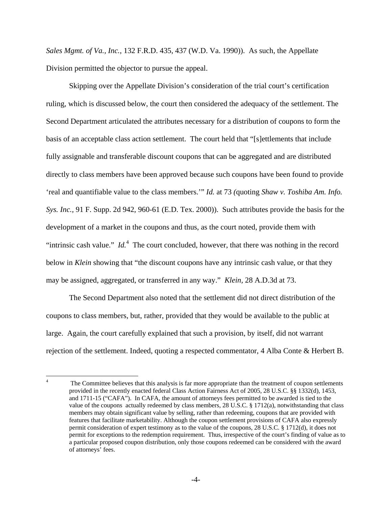*Sales Mgmt. of Va., Inc.,* 132 F.R.D. 435, 437 (W.D. Va. 1990)). As such, the Appellate Division permitted the objector to pursue the appeal.

Skipping over the Appellate Division's consideration of the trial court's certification ruling, which is discussed below, the court then considered the adequacy of the settlement. The Second Department articulated the attributes necessary for a distribution of coupons to form the basis of an acceptable class action settlement. The court held that "[s]ettlements that include fully assignable and transferable discount coupons that can be aggregated and are distributed directly to class members have been approved because such coupons have been found to provide 'real and quantifiable value to the class members.'" *Id.* at 73 *(*quoting *Shaw v. Toshiba Am. Info. Sys. Inc.,* 91 F. Supp. 2d 942, 960-61 (E.D. Tex. 2000)). Such attributes provide the basis for the development of a market in the coupons and thus, as the court noted, provide them with "intrinsic cash value."  $Id<sup>4</sup>$ . The court concluded, however, that there was nothing in the record below in *Klein* showing that "the discount coupons have any intrinsic cash value, or that they may be assigned, aggregated, or transferred in any way." *Klein,* 28 A.D.3d at 73.

The Second Department also noted that the settlement did not direct distribution of the coupons to class members, but, rather, provided that they would be available to the public at large. Again, the court carefully explained that such a provision, by itself, did not warrant rejection of the settlement. Indeed, quoting a respected commentator, 4 Alba Conte & Herbert B.

 $\frac{1}{4}$  The Committee believes that this analysis is far more appropriate than the treatment of coupon settlements provided in the recently enacted federal Class Action Fairness Act of 2005, 28 U.S.C. §§ 1332(d), 1453, and 1711-15 ("CAFA"). In CAFA, the amount of attorneys fees permitted to be awarded is tied to the value of the coupons actually redeemed by class members,  $28 \text{ U.S.C.}$  §  $1712(a)$ , notwithstanding that class members may obtain significant value by selling, rather than redeeming, coupons that are provided with features that facilitate marketability. Although the coupon settlement provisions of CAFA also expressly permit consideration of expert testimony as to the value of the coupons, 28 U.S.C. § 1712(d), it does not permit for exceptions to the redemption requirement. Thus, irrespective of the court's finding of value as to a particular proposed coupon distribution, only those coupons redeemed can be considered with the award of attorneys' fees.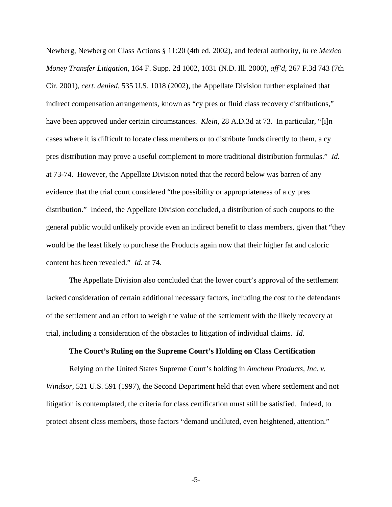Newberg, Newberg on Class Actions § 11:20 (4th ed. 2002), and federal authority, *In re Mexico Money Transfer Litigation,* 164 F. Supp. 2d 1002, 1031 (N.D. Ill. 2000), *aff'd,* 267 F.3d 743 (7th Cir. 2001), *cert. denied,* 535 U.S. 1018 (2002), the Appellate Division further explained that indirect compensation arrangements, known as "cy pres or fluid class recovery distributions," have been approved under certain circumstances. *Klein,* 28 A.D.3d at 73. In particular, "[i]n cases where it is difficult to locate class members or to distribute funds directly to them, a cy pres distribution may prove a useful complement to more traditional distribution formulas." *Id.* at 73-74. However, the Appellate Division noted that the record below was barren of any evidence that the trial court considered "the possibility or appropriateness of a cy pres distribution." Indeed, the Appellate Division concluded, a distribution of such coupons to the general public would unlikely provide even an indirect benefit to class members, given that "they would be the least likely to purchase the Products again now that their higher fat and caloric content has been revealed." *Id.* at 74.

The Appellate Division also concluded that the lower court's approval of the settlement lacked consideration of certain additional necessary factors, including the cost to the defendants of the settlement and an effort to weigh the value of the settlement with the likely recovery at trial, including a consideration of the obstacles to litigation of individual claims. *Id.*

#### **The Court's Ruling on the Supreme Court's Holding on Class Certification**

Relying on the United States Supreme Court's holding in *Amchem Products, Inc. v. Windsor,* 521 U.S. 591 (1997), the Second Department held that even where settlement and not litigation is contemplated, the criteria for class certification must still be satisfied. Indeed, to protect absent class members, those factors "demand undiluted, even heightened, attention."

-5-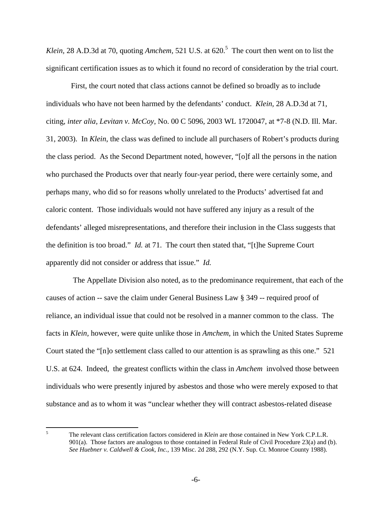Klein, 28 A.D.3d at 70, quoting *Amchem*, 521 U.S. at 620.<sup>5</sup> The court then went on to list the significant certification issues as to which it found no record of consideration by the trial court.

 First, the court noted that class actions cannot be defined so broadly as to include individuals who have not been harmed by the defendants' conduct. *Klein,* 28 A.D.3d at 71, citing*, inter alia, Levitan v. McCoy,* No. 00 C 5096, 2003 WL 1720047, at \*7-8 (N.D. Ill. Mar. 31, 2003). In *Klein*, the class was defined to include all purchasers of Robert's products during the class period. As the Second Department noted, however, "[o]f all the persons in the nation who purchased the Products over that nearly four-year period, there were certainly some, and perhaps many, who did so for reasons wholly unrelated to the Products' advertised fat and caloric content. Those individuals would not have suffered any injury as a result of the defendants' alleged misrepresentations, and therefore their inclusion in the Class suggests that the definition is too broad." *Id.* at 71. The court then stated that, "[t]he Supreme Court apparently did not consider or address that issue." *Id.*

 The Appellate Division also noted, as to the predominance requirement, that each of the causes of action -- save the claim under General Business Law § 349 -- required proof of reliance, an individual issue that could not be resolved in a manner common to the class. The facts in *Klein,* however, were quite unlike those in *Amchem,* in which the United States Supreme Court stated the "[n]o settlement class called to our attention is as sprawling as this one." 521 U.S. at 624. Indeed, the greatest conflicts within the class in *Amchem* involved those between individuals who were presently injured by asbestos and those who were merely exposed to that substance and as to whom it was "unclear whether they will contract asbestos-related disease

 5 The relevant class certification factors considered in *Klein* are those contained in New York C.P.L.R. 901(a). Those factors are analogous to those contained in Federal Rule of Civil Procedure 23(a) and (b). *See Huebner v. Caldwell & Cook, Inc.,* 139 Misc. 2d 288, 292 (N.Y. Sup. Ct. Monroe County 1988).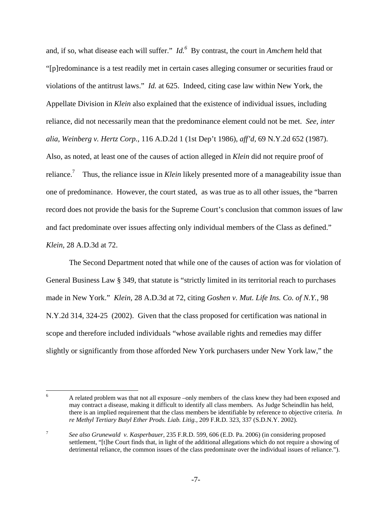and, if so, what disease each will suffer." *Id.*<sup>6</sup> By contrast, the court in *Amchem* held that "[p]redominance is a test readily met in certain cases alleging consumer or securities fraud or violations of the antitrust laws." *Id.* at 625. Indeed, citing case law within New York, the Appellate Division in *Klein* also explained that the existence of individual issues, including reliance, did not necessarily mean that the predominance element could not be met. *See, inter alia, Weinberg v. Hertz Corp.,* 116 A.D.2d 1 (1st Dep't 1986), *aff'd,* 69 N.Y.2d 652 (1987). Also, as noted, at least one of the causes of action alleged in *Klein* did not require proof of reliance.<sup>7</sup> Thus, the reliance issue in *Klein* likely presented more of a manageability issue than one of predominance. However, the court stated, as was true as to all other issues, the "barren record does not provide the basis for the Supreme Court's conclusion that common issues of law and fact predominate over issues affecting only individual members of the Class as defined." *Klein,* 28 A.D.3d at 72.

The Second Department noted that while one of the causes of action was for violation of General Business Law § 349, that statute is "strictly limited in its territorial reach to purchases made in New York." *Klein,* 28 A.D.3d at 72, citing *Goshen v. Mut. Life Ins. Co. of N.Y.,* 98 N.Y.2d 314, 324-25 (2002). Given that the class proposed for certification was national in scope and therefore included individuals "whose available rights and remedies may differ slightly or significantly from those afforded New York purchasers under New York law," the

7 *See also Grunewald v. Kasperbauer,* 235 F.R.D. 599, 606 (E.D. Pa. 2006) (in considering proposed settlement, "[t]he Court finds that, in light of the additional allegations which do not require a showing of detrimental reliance, the common issues of the class predominate over the individual issues of reliance.").

 $\overline{a}$ 6 A related problem was that not all exposure –only members of the class knew they had been exposed and may contract a disease, making it difficult to identify all class members. As Judge Scheindlin has held, there is an implied requirement that the class members be identifiable by reference to objective criteria. *In re Methyl Tertiary Butyl Ether Prods. Liab. Litig.,* 209 F.R.D. 323, 337 (S.D.N.Y. 2002).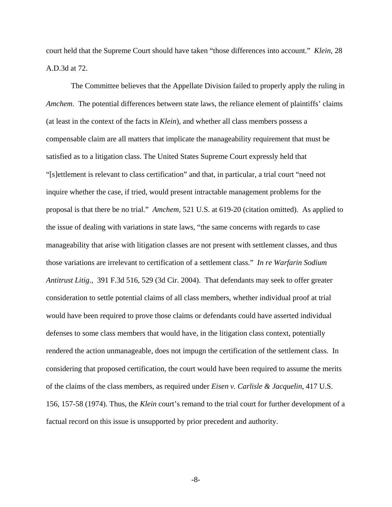court held that the Supreme Court should have taken "those differences into account." *Klein,* 28 A.D.3d at 72.

 The Committee believes that the Appellate Division failed to properly apply the ruling in *Amchem*. The potential differences between state laws, the reliance element of plaintiffs' claims (at least in the context of the facts in *Klein*), and whether all class members possess a compensable claim are all matters that implicate the manageability requirement that must be satisfied as to a litigation class. The United States Supreme Court expressly held that "[s]ettlement is relevant to class certification" and that, in particular, a trial court "need not inquire whether the case, if tried, would present intractable management problems for the proposal is that there be no trial." *Amchem,* 521 U.S. at 619-20 (citation omitted). As applied to the issue of dealing with variations in state laws, "the same concerns with regards to case manageability that arise with litigation classes are not present with settlement classes, and thus those variations are irrelevant to certification of a settlement class." *In re Warfarin Sodium Antitrust Litig.,* 391 F.3d 516, 529 (3d Cir. 2004). That defendants may seek to offer greater consideration to settle potential claims of all class members, whether individual proof at trial would have been required to prove those claims or defendants could have asserted individual defenses to some class members that would have, in the litigation class context, potentially rendered the action unmanageable, does not impugn the certification of the settlement class. In considering that proposed certification, the court would have been required to assume the merits of the claims of the class members, as required under *Eisen v. Carlisle & Jacquelin,* 417 U.S. 156, 157-58 (1974). Thus, the *Klein* court's remand to the trial court for further development of a factual record on this issue is unsupported by prior precedent and authority.

-8-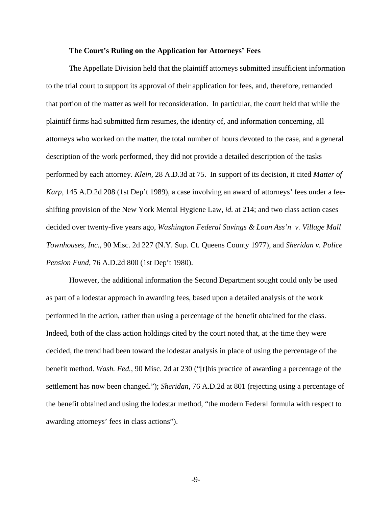## **The Court's Ruling on the Application for Attorneys' Fees**

The Appellate Division held that the plaintiff attorneys submitted insufficient information to the trial court to support its approval of their application for fees, and, therefore, remanded that portion of the matter as well for reconsideration. In particular, the court held that while the plaintiff firms had submitted firm resumes, the identity of, and information concerning, all attorneys who worked on the matter, the total number of hours devoted to the case, and a general description of the work performed, they did not provide a detailed description of the tasks performed by each attorney. *Klein,* 28 A.D.3d at 75. In support of its decision, it cited *Matter of Karp,* 145 A.D.2d 208 (1st Dep't 1989), a case involving an award of attorneys' fees under a feeshifting provision of the New York Mental Hygiene Law, *id.* at 214; and two class action cases decided over twenty-five years ago, *Washington Federal Savings & Loan Ass'n v. Village Mall Townhouses, Inc.,* 90 Misc. 2d 227 (N.Y. Sup. Ct. Queens County 1977), and *Sheridan v. Police Pension Fund,* 76 A.D.2d 800 (1st Dep't 1980).

However, the additional information the Second Department sought could only be used as part of a lodestar approach in awarding fees, based upon a detailed analysis of the work performed in the action, rather than using a percentage of the benefit obtained for the class. Indeed, both of the class action holdings cited by the court noted that, at the time they were decided, the trend had been toward the lodestar analysis in place of using the percentage of the benefit method. *Wash. Fed.,* 90 Misc. 2d at 230 ("[t]his practice of awarding a percentage of the settlement has now been changed."); *Sheridan,* 76 A.D.2d at 801 (rejecting using a percentage of the benefit obtained and using the lodestar method, "the modern Federal formula with respect to awarding attorneys' fees in class actions").

-9-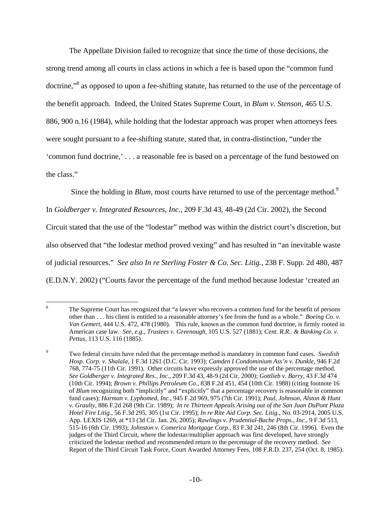The Appellate Division failed to recognize that since the time of those decisions, the strong trend among all courts in class actions in which a fee is based upon the "common fund doctrine,"<sup>8</sup> as opposed to upon a fee-shifting statute, has returned to the use of the percentage of the benefit approach. Indeed, the United States Supreme Court, in *Blum v. Stenson*, 465 U.S. 886, 900 n.16 (1984), while holding that the lodestar approach was proper when attorneys fees were sought pursuant to a fee-shifting statute, stated that, in contra-distinction, "under the 'common fund doctrine,' . . . a reasonable fee is based on a percentage of the fund bestowed on the class."

Since the holding in *Blum*, most courts have returned to use of the percentage method.<sup>9</sup>

In *Goldberger v. Integrated Resources*, *Inc.,* 209 F.3d 43, 48-49 (2d Cir. 2002), the Second

Circuit stated that the use of the "lodestar" method was within the district court's discretion, but

also observed that "the lodestar method proved vexing" and has resulted in "an inevitable waste

of judicial resources." *See also In re Sterling Foster & Co. Sec. Litig.*, 238 F. Supp. 2d 480, 487

(E.D.N.Y. 2002) ("Courts favor the percentage of the fund method because lodestar 'created an

 8 The Supreme Court has recognized that "a lawyer who recovers a common fund for the benefit of persons other than . . . his client is entitled to a reasonable attorney's fee from the fund as a whole." *Boeing Co. v. Van Gemert*, 444 U.S. 472, 478 (1980). This rule, known as the common fund doctrine, is firmly rooted in American case law. *See, e.g., Trustees v. Greenough,* 105 U.S. 527 (1881); *Cent. R.R.. & Banking Co. v. Pettus,* 113 U.S. 116 (1885).

<sup>9</sup> Two federal circuits have ruled that the percentage method is mandatory in common fund cases. *Swedish Hosp. Corp. v. Shalala,* 1 F.3d 1261 (D.C. Cir. 1993); *Camden I Condominium Ass'n v. Dunkle,* 946 F.2d 768, 774-75 (11th Cir. 1991). Other circuits have expressly approved the use of the percentage method. *See Goldberger v. Integrated Res., Inc.,* 209 F.3d 43, 48-9 (2d Cir. 2000); *Gottlieb v. Barry,* 43 F.3d 474 (10th Cir. 1994); *Brown v. Phillips Petroleum Co.,* 838 F.2d 451, 454 (10th Cir. 1988) (citing footnote 16 of *Blum* recognizing both "implicitly" and "explicitly" that a percentage recovery is reasonable in common fund cases); *Harman v. Lyphomed, Inc.*, 945 F.2d 969, 975 (7th Cir. 1991); *Paul, Johnson, Alston & Hunt v. Graulty,* 886 F.2d 268 (9th Cir. 1989); *In re Thirteen Appeals Arising out of the San Juan DuPont Plaza Hotel Fire Litig.,* 56 F.3d 295, 305 (1st Cir. 1995); *In re Rite Aid Corp. Sec. Litig.,* No. 03-2914, 2005 U.S. App. LEXIS 1269, at \*13 (3d Cir. Jan. 26, 2005); *Rawlings v. Prudential-Bache Props., Inc.*, 9 F.3d 513, 515-16 (6th Cir. 1993); *Johnston v. Comerica Mortgage Corp.,* 83 F.3d 241, 246 (8th Cir. 1996). Even the judges of the Third Circuit, where the lodestar/multiplier approach was first developed, have strongly criticized the lodestar method and recommended return to the percentage of the recovery method. *See* Report of the Third Circuit Task Force, Court Awarded Attorney Fees, 108 F.R.D. 237, 254 (Oct. 8, 1985).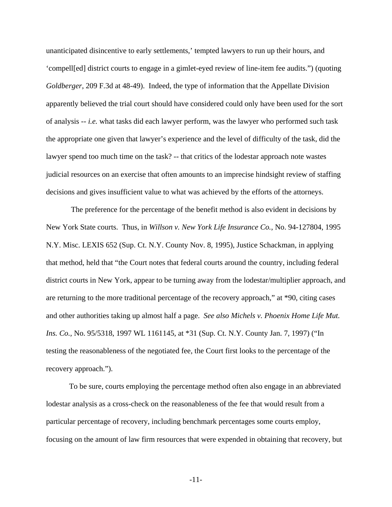unanticipated disincentive to early settlements,' tempted lawyers to run up their hours, and 'compell[ed] district courts to engage in a gimlet-eyed review of line-item fee audits.") (quoting *Goldberger*, 209 F.3d at 48-49). Indeed, the type of information that the Appellate Division apparently believed the trial court should have considered could only have been used for the sort of analysis -- *i.e.* what tasks did each lawyer perform, was the lawyer who performed such task the appropriate one given that lawyer's experience and the level of difficulty of the task, did the lawyer spend too much time on the task? -- that critics of the lodestar approach note wastes judicial resources on an exercise that often amounts to an imprecise hindsight review of staffing decisions and gives insufficient value to what was achieved by the efforts of the attorneys.

 The preference for the percentage of the benefit method is also evident in decisions by New York State courts. Thus, in *Willson v. New York Life Insurance Co.*, No. 94-127804, 1995 N.Y. Misc. LEXIS 652 (Sup. Ct. N.Y. County Nov. 8, 1995), Justice Schackman, in applying that method, held that "the Court notes that federal courts around the country, including federal district courts in New York, appear to be turning away from the lodestar/multiplier approach, and are returning to the more traditional percentage of the recovery approach," at \*90, citing cases and other authorities taking up almost half a page. *See also Michels v. Phoenix Home Life Mut. Ins. Co.,* No. 95/5318, 1997 WL 1161145, at \*31 (Sup. Ct. N.Y. County Jan. 7, 1997) ("In testing the reasonableness of the negotiated fee, the Court first looks to the percentage of the recovery approach.").

To be sure, courts employing the percentage method often also engage in an abbreviated lodestar analysis as a cross-check on the reasonableness of the fee that would result from a particular percentage of recovery, including benchmark percentages some courts employ, focusing on the amount of law firm resources that were expended in obtaining that recovery, but

-11-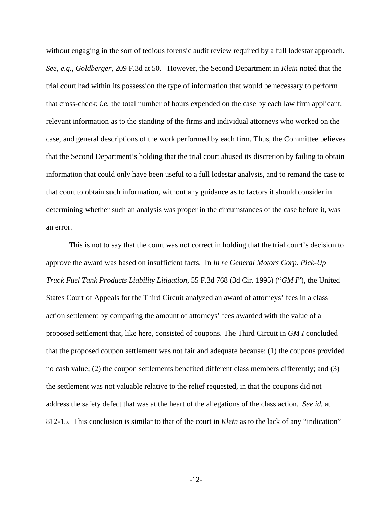without engaging in the sort of tedious forensic audit review required by a full lodestar approach. *See, e.g., Goldberger,* 209 F.3d at 50. However, the Second Department in *Klein* noted that the trial court had within its possession the type of information that would be necessary to perform that cross-check; *i.e.* the total number of hours expended on the case by each law firm applicant, relevant information as to the standing of the firms and individual attorneys who worked on the case, and general descriptions of the work performed by each firm. Thus, the Committee believes that the Second Department's holding that the trial court abused its discretion by failing to obtain information that could only have been useful to a full lodestar analysis, and to remand the case to that court to obtain such information, without any guidance as to factors it should consider in determining whether such an analysis was proper in the circumstances of the case before it, was an error.

This is not to say that the court was not correct in holding that the trial court's decision to approve the award was based on insufficient facts. In *In re General Motors Corp. Pick-Up Truck Fuel Tank Products Liability Litigation*, 55 F.3d 768 (3d Cir. 1995) ("*GM I*"), the United States Court of Appeals for the Third Circuit analyzed an award of attorneys' fees in a class action settlement by comparing the amount of attorneys' fees awarded with the value of a proposed settlement that, like here, consisted of coupons. The Third Circuit in *GM I* concluded that the proposed coupon settlement was not fair and adequate because: (1) the coupons provided no cash value; (2) the coupon settlements benefited different class members differently; and (3) the settlement was not valuable relative to the relief requested, in that the coupons did not address the safety defect that was at the heart of the allegations of the class action. *See id.* at 812-15. This conclusion is similar to that of the court in *Klein* as to the lack of any "indication"